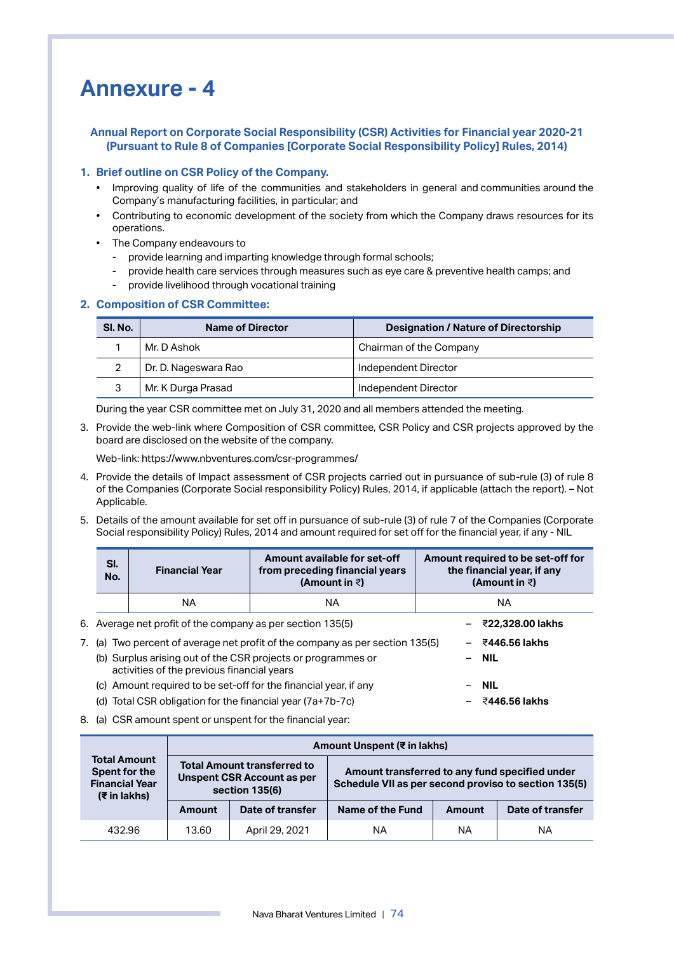## **Annexure - 4**

## **Annual Report on Corporate Social Responsibility (CSR) Activities for Financial year 2020-21 (Pursuant to Rule 8 of Companies [Corporate Social Responsibility Policy] Rules, 2014)**

## **1. Brief outline on CSR Policy of the Company.**

- Improving quality of life of the communities and stakeholders in general and communities around the Company's manufacturing facilities, in particular; and
- Contributing to economic development of the society from which the Company draws resources for its operations.
- The Company endeavours to
	- provide learning and imparting knowledge through formal schools;
	- provide health care services through measures such as eye care & preventive health camps; and
	- provide livelihood through vocational training

## **2. Composition of CSR Committee:**

| SI. No. | <b>Name of Director</b> | <b>Designation / Nature of Directorship</b> |
|---------|-------------------------|---------------------------------------------|
|         | Mr. D Ashok             | Chairman of the Company                     |
|         | Dr. D. Nageswara Rao    | Independent Director                        |
| 3       | Mr. K Durga Prasad      | Independent Director                        |

During the year CSR committee met on July 31, 2020 and all members attended the meeting.

3. Provide the web-link where Composition of CSR committee, CSR Policy and CSR projects approved by the board are disclosed on the website of the company.

Web-link: https://www.nbventures.com/csr-programmes/

- 4. Provide the details of Impact assessment of CSR projects carried out in pursuance of sub-rule (3) of rule 8 of the Companies (Corporate Social responsibility Policy) Rules, 2014, if applicable (attach the report). – Not Applicable.
- 5. Details of the amount available for set off in pursuance of sub-rule (3) of rule 7 of the Companies (Corporate Social responsibility Policy) Rules, 2014 and amount required for set off for the financial year, if any - NIL

| SI.<br>No.                                                                     | <b>Financial Year</b>                                        | Amount available for set-off<br>from preceding financial years<br>(Amount in $\bar{z}$ ) | Amount required to be set-off for<br>the financial year, if any<br>(Amount in $\bar{z}$ ) |  |  |  |  |  |  |  |  |
|--------------------------------------------------------------------------------|--------------------------------------------------------------|------------------------------------------------------------------------------------------|-------------------------------------------------------------------------------------------|--|--|--|--|--|--|--|--|
|                                                                                | NA                                                           | ΝA                                                                                       | ΝA                                                                                        |  |  |  |  |  |  |  |  |
| 6. Average net profit of the company as per section 135(5)<br>ই22,328,00 lakhs |                                                              |                                                                                          |                                                                                           |  |  |  |  |  |  |  |  |
|                                                                                |                                                              | 7. (a) Two percent of average net profit of the company as per section 135(5)            | ₹446.56 lakhs                                                                             |  |  |  |  |  |  |  |  |
|                                                                                | activities of the previous financial years                   | (b) Surplus arising out of the CSR projects or programmes or                             | $-$ NIL                                                                                   |  |  |  |  |  |  |  |  |
| (C)                                                                            |                                                              | Amount required to be set-off for the financial year, if any                             | <b>NIL</b>                                                                                |  |  |  |  |  |  |  |  |
|                                                                                | (d) Total CSR obligation for the financial year $(7a+7b-7c)$ |                                                                                          | ই446.56 lakhs                                                                             |  |  |  |  |  |  |  |  |

8. (a) CSR amount spent or unspent for the financial year:

|                                                                                   | Amount Unspent (₹ in lakhs) |                                                                                           |                                                                                                        |        |                  |  |  |  |  |
|-----------------------------------------------------------------------------------|-----------------------------|-------------------------------------------------------------------------------------------|--------------------------------------------------------------------------------------------------------|--------|------------------|--|--|--|--|
| <b>Total Amount</b><br>Spent for the<br><b>Financial Year</b><br>$(\xi$ in lakhs) |                             | <b>Total Amount transferred to</b><br><b>Unspent CSR Account as per</b><br>section 135(6) | Amount transferred to any fund specified under<br>Schedule VII as per second proviso to section 135(5) |        |                  |  |  |  |  |
|                                                                                   | Amount                      | Date of transfer                                                                          | Name of the Fund                                                                                       | Amount | Date of transfer |  |  |  |  |
| 432.96                                                                            | April 29, 2021<br>13.60     |                                                                                           | ΝA                                                                                                     | ΝA     | ΝA               |  |  |  |  |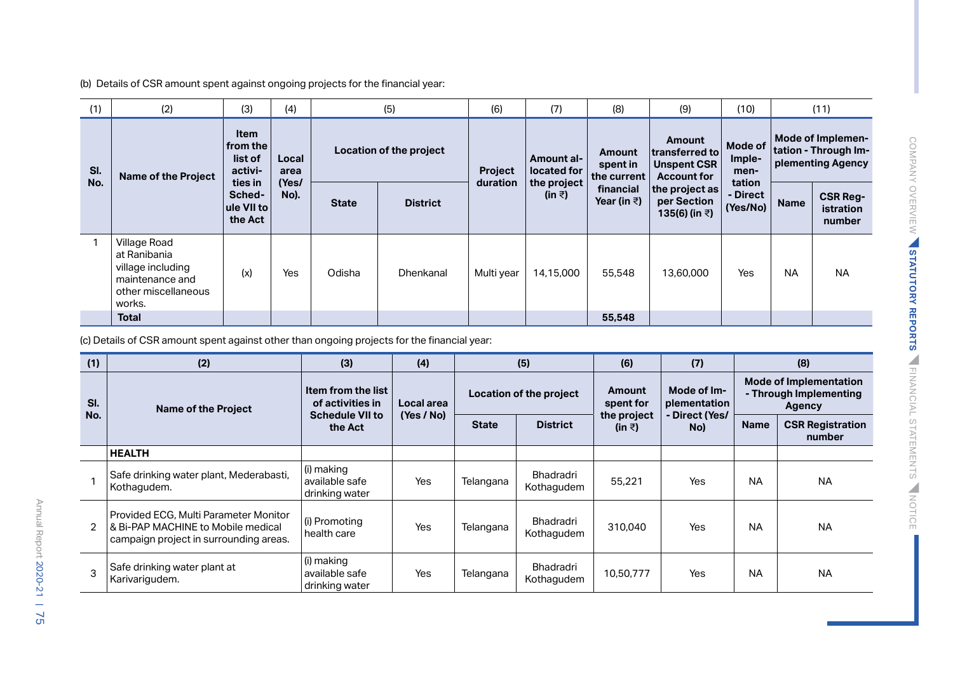(b) Details of CSR amount spent against ongoing projects for the financial year:

| (1)        | (2)                                                                                                   | (3)                                                                                         | (4)           |              | (5)              |               | (7)                   | (8)                      | (9)                                            | (10)                           |                                   | (11)                                                                 |                           |                                                                |  |
|------------|-------------------------------------------------------------------------------------------------------|---------------------------------------------------------------------------------------------|---------------|--------------|------------------|---------------|-----------------------|--------------------------|------------------------------------------------|--------------------------------|-----------------------------------|----------------------------------------------------------------------|---------------------------|----------------------------------------------------------------|--|
| SI.<br>No. | <b>Name of the Project</b>                                                                            | <b>Item</b><br>from the<br>list of<br>activi-<br>ties in<br>Sched-<br>ule VII to<br>the Act |               |              |                  | Local<br>area |                       | Location of the project  | Project                                        | Amount al-<br>located for      | Amount<br>spent in<br>the current | Amount<br>transferred to<br><b>Unspent CSR</b><br><b>Account for</b> | Mode of<br>Imple-<br>men- | Mode of Implemen-<br>tation - Through Im-<br>plementing Agency |  |
|            |                                                                                                       |                                                                                             | (Yes/<br>No). | <b>State</b> | <b>District</b>  | duration      | the project<br>(in ₹) | financial<br>Year (in ₹) | the project as<br>per Section<br>135(6) (in ₹) | tation<br>- Direct<br>(Yes/No) | <b>Name</b>                       | <b>CSR Reg-</b><br><b>istration</b><br>number                        |                           |                                                                |  |
|            | Village Road<br>at Ranibania<br>village including<br>maintenance and<br>other miscellaneous<br>works. | (x)                                                                                         | Yes           | Odisha       | <b>Dhenkanal</b> | Multi year    | 14,15,000             | 55,548                   | 13,60,000                                      | Yes                            | <b>NA</b>                         | <b>NA</b>                                                            |                           |                                                                |  |
|            | <b>Total</b>                                                                                          |                                                                                             |               |              |                  |               |                       | 55,548                   |                                                |                                |                                   |                                                                      |                           |                                                                |  |

(c) Details of CSR amount spent against other than ongoing projects for the financial year:

| (1)            | (2)                                                                                                                   | (3)                                                  | (4)        |                         | (5)                     | (6)                   | (7)                         |                                                                   | (8)                               |
|----------------|-----------------------------------------------------------------------------------------------------------------------|------------------------------------------------------|------------|-------------------------|-------------------------|-----------------------|-----------------------------|-------------------------------------------------------------------|-----------------------------------|
| SI.            | <b>Name of the Project</b>                                                                                            | Item from the list<br>of activities in<br>Local area |            | Location of the project |                         | Amount<br>spent for   | Mode of Im-<br>plementation | <b>Mode of Implementation</b><br>- Through Implementing<br>Agency |                                   |
| No.            |                                                                                                                       | <b>Schedule VII to</b><br>the Act                    | (Yes / No) | <b>State</b>            | <b>District</b>         | the project<br>(in ₹) | - Direct (Yes/<br>No)       | <b>Name</b>                                                       | <b>CSR Registration</b><br>number |
|                | <b>HEALTH</b>                                                                                                         |                                                      |            |                         |                         |                       |                             |                                                                   |                                   |
|                | Safe drinking water plant, Mederabasti,<br>Kothagudem.                                                                | (i) making<br>available safe<br>drinking water       | Yes        | Telangana               | Bhadradri<br>Kothagudem | 55.221                | Yes                         | <b>NA</b>                                                         | <b>NA</b>                         |
| $\mathfrak{D}$ | Provided ECG, Multi Parameter Monitor<br>& Bi-PAP MACHINE to Mobile medical<br>campaign project in surrounding areas. | (i) Promoting<br>health care                         | Yes        | Telangana               | Bhadradri<br>Kothagudem | 310.040               | Yes                         | <b>NA</b>                                                         | <b>NA</b>                         |
| 3              | Safe drinking water plant at<br>Karivarigudem.                                                                        | (i) making<br>available safe<br>drinking water       | Yes        | Telangana               | Bhadradri<br>Kothagudem | 10,50,777             | Yes                         | <b>NA</b>                                                         | <b>NA</b>                         |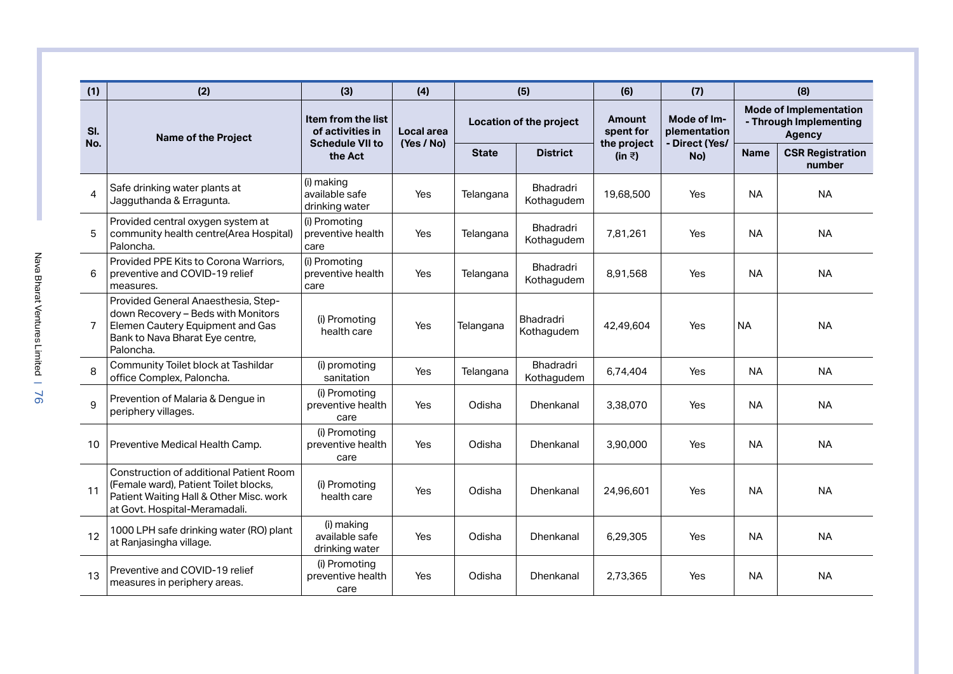| (1)            | (2)                                                                                                                                                                 | (3)                                                              | (4)        |              | (5)                            | (6)                   | (7)                         |             | (8)                                                                      |
|----------------|---------------------------------------------------------------------------------------------------------------------------------------------------------------------|------------------------------------------------------------------|------------|--------------|--------------------------------|-----------------------|-----------------------------|-------------|--------------------------------------------------------------------------|
| SI.<br>No.     | <b>Name of the Project</b>                                                                                                                                          | Item from the list<br>of activities in<br><b>Schedule VII to</b> | Local area |              | Location of the project        | Amount<br>spent for   | Mode of Im-<br>plementation |             | <b>Mode of Implementation</b><br>- Through Implementing<br><b>Agency</b> |
|                |                                                                                                                                                                     | the Act                                                          | (Yes / No) | <b>State</b> | <b>District</b>                | the project<br>(in ₹) | - Direct (Yes/<br>No)       | <b>Name</b> | <b>CSR Registration</b><br>number                                        |
| 4              | Safe drinking water plants at<br>Jagguthanda & Erragunta.                                                                                                           | (i) making<br>available safe<br>drinking water                   | Yes        | Telangana    | Bhadradri<br>Kothagudem        | 19,68,500             | Yes                         | <b>NA</b>   | <b>NA</b>                                                                |
| 5              | Provided central oxygen system at<br>community health centre(Area Hospital)<br>Paloncha.                                                                            | (i) Promoting<br>preventive health<br>care                       | Yes        | Telangana    | Bhadradri<br>Kothagudem        | 7,81,261              | Yes                         | <b>NA</b>   | <b>NA</b>                                                                |
| 6              | Provided PPE Kits to Corona Warriors,<br>preventive and COVID-19 relief<br>measures.                                                                                | (i) Promoting<br>preventive health<br>care                       | Yes        | Telangana    | Bhadradri<br>Kothagudem        | 8,91,568              | Yes                         | <b>NA</b>   | <b>NA</b>                                                                |
| $\overline{7}$ | Provided General Anaesthesia, Step-<br>down Recovery - Beds with Monitors<br>Elemen Cautery Equipment and Gas<br>Bank to Nava Bharat Eye centre,<br>Paloncha.       | (i) Promoting<br>health care                                     | Yes        | Telangana    | <b>Bhadradri</b><br>Kothagudem | 42,49,604             | Yes                         | <b>NA</b>   | <b>NA</b>                                                                |
| 8              | Community Toilet block at Tashildar<br>office Complex, Paloncha.                                                                                                    | (i) promoting<br>sanitation                                      | Yes        | Telangana    | Bhadradri<br>Kothagudem        | 6,74,404              | Yes                         | <b>NA</b>   | <b>NA</b>                                                                |
| 9              | Prevention of Malaria & Dengue in<br>periphery villages.                                                                                                            | (i) Promoting<br>preventive health<br>care                       | Yes        | Odisha       | Dhenkanal                      | 3,38,070              | Yes                         | <b>NA</b>   | <b>NA</b>                                                                |
| 10             | Preventive Medical Health Camp.                                                                                                                                     | (i) Promoting<br>preventive health<br>care                       | Yes        | Odisha       | Dhenkanal                      | 3.90.000              | Yes                         | <b>NA</b>   | <b>NA</b>                                                                |
| 11             | <b>Construction of additional Patient Room</b><br>(Female ward), Patient Toilet blocks,<br>Patient Waiting Hall & Other Misc. work<br>at Govt. Hospital-Meramadali. | (i) Promoting<br>health care                                     | Yes        | Odisha       | <b>Dhenkanal</b>               | 24,96,601             | Yes                         | <b>NA</b>   | <b>NA</b>                                                                |
| 12             | 1000 LPH safe drinking water (RO) plant<br>at Ranjasingha village.                                                                                                  | (i) making<br>available safe<br>drinking water                   | Yes        | Odisha       | Dhenkanal                      | 6,29,305              | Yes                         | <b>NA</b>   | <b>NA</b>                                                                |
| 13             | Preventive and COVID-19 relief<br>measures in periphery areas.                                                                                                      | (i) Promoting<br>preventive health<br>care                       | Yes        | Odisha       | Dhenkanal                      | 2,73,365              | Yes                         | <b>NA</b>   | <b>NA</b>                                                                |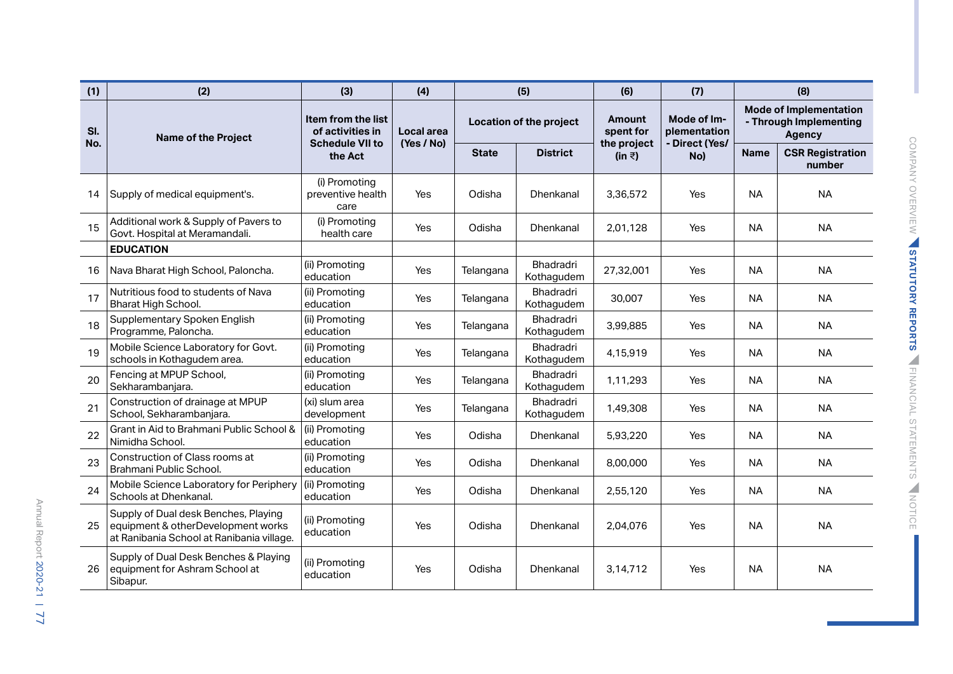| (1)        | (2)                                                                                                                     | (3)                                                              | (4)                      |              | (5)                            | (6)                        | (7)                                           |                                                                          | (8)                               |
|------------|-------------------------------------------------------------------------------------------------------------------------|------------------------------------------------------------------|--------------------------|--------------|--------------------------------|----------------------------|-----------------------------------------------|--------------------------------------------------------------------------|-----------------------------------|
| SI.<br>No. | <b>Name of the Project</b>                                                                                              | Item from the list<br>of activities in<br><b>Schedule VII to</b> | Local area<br>(Yes / No) |              | Location of the project        | <b>Amount</b><br>spent for | Mode of Im-<br>plementation<br>- Direct (Yes/ | <b>Mode of Implementation</b><br>- Through Implementing<br><b>Agency</b> |                                   |
|            |                                                                                                                         | the Act                                                          |                          | <b>State</b> | <b>District</b>                | the project<br>(in ₹)      | No)                                           | <b>Name</b>                                                              | <b>CSR Registration</b><br>number |
| 14         | Supply of medical equipment's.                                                                                          | (i) Promoting<br>preventive health<br>care                       | Yes                      | Odisha       | Dhenkanal                      | 3,36,572                   | Yes                                           | <b>NA</b>                                                                | <b>NA</b>                         |
| 15         | Additional work & Supply of Pavers to<br>Govt. Hospital at Meramandali.                                                 | (i) Promoting<br>health care                                     | Yes                      | Odisha       | Dhenkanal                      | 2,01,128                   | Yes                                           | <b>NA</b>                                                                | <b>NA</b>                         |
|            | <b>EDUCATION</b>                                                                                                        |                                                                  |                          |              |                                |                            |                                               |                                                                          |                                   |
| 16         | Nava Bharat High School, Paloncha.                                                                                      | (ii) Promoting<br>education                                      | Yes                      | Telangana    | Bhadradri<br>Kothagudem        | 27,32,001                  | Yes                                           | <b>NA</b>                                                                | <b>NA</b>                         |
| 17         | Nutritious food to students of Nava<br>Bharat High School.                                                              | (ii) Promoting<br>education                                      | Yes                      | Telangana    | Bhadradri<br>Kothagudem        | 30,007                     | Yes                                           | <b>NA</b>                                                                | <b>NA</b>                         |
| 18         | Supplementary Spoken English<br>Programme, Paloncha.                                                                    | (ii) Promoting<br>education                                      | Yes                      | Telangana    | Bhadradri<br>Kothagudem        | 3,99,885                   | Yes                                           | <b>NA</b>                                                                | <b>NA</b>                         |
| 19         | Mobile Science Laboratory for Govt.<br>schools in Kothagudem area.                                                      | (ii) Promoting<br>education                                      | Yes                      | Telangana    | <b>Bhadradri</b><br>Kothagudem | 4,15,919                   | Yes                                           | <b>NA</b>                                                                | <b>NA</b>                         |
| 20         | Fencing at MPUP School,<br>Sekharambanjara.                                                                             | (ii) Promoting<br>education                                      | Yes                      | Telangana    | Bhadradri<br>Kothagudem        | 1,11,293                   | Yes                                           | <b>NA</b>                                                                | <b>NA</b>                         |
| 21         | Construction of drainage at MPUP<br>School, Sekharambanjara.                                                            | (xi) slum area<br>development                                    | Yes                      | Telangana    | Bhadradri<br>Kothagudem        | 1,49,308                   | Yes                                           | <b>NA</b>                                                                | <b>NA</b>                         |
| 22         | Grant in Aid to Brahmani Public School &<br>Nimidha School.                                                             | (ii) Promoting<br>education                                      | Yes                      | Odisha       | <b>Dhenkanal</b>               | 5,93,220                   | Yes                                           | <b>NA</b>                                                                | <b>NA</b>                         |
| 23         | Construction of Class rooms at<br>Brahmani Public School.                                                               | (ii) Promoting<br>education                                      | Yes                      | Odisha       | Dhenkanal                      | 8,00,000                   | Yes                                           | <b>NA</b>                                                                | <b>NA</b>                         |
| 24         | Mobile Science Laboratory for Periphery<br>Schools at Dhenkanal.                                                        | (ii) Promoting<br>education                                      | Yes                      | Odisha       | <b>Dhenkanal</b>               | 2,55,120                   | Yes                                           | <b>NA</b>                                                                | <b>NA</b>                         |
| 25         | Supply of Dual desk Benches, Playing<br>equipment & otherDevelopment works<br>at Ranibania School at Ranibania village. | (ii) Promoting<br>education                                      | Yes                      | Odisha       | <b>Dhenkanal</b>               | 2,04,076                   | Yes                                           | <b>NA</b>                                                                | <b>NA</b>                         |
| 26         | Supply of Dual Desk Benches & Playing<br>equipment for Ashram School at<br>Sibapur.                                     | (ii) Promoting<br>education                                      | Yes                      | Odisha       | Dhenkanal                      | 3.14.712                   | Yes                                           | <b>NA</b>                                                                | <b>NA</b>                         |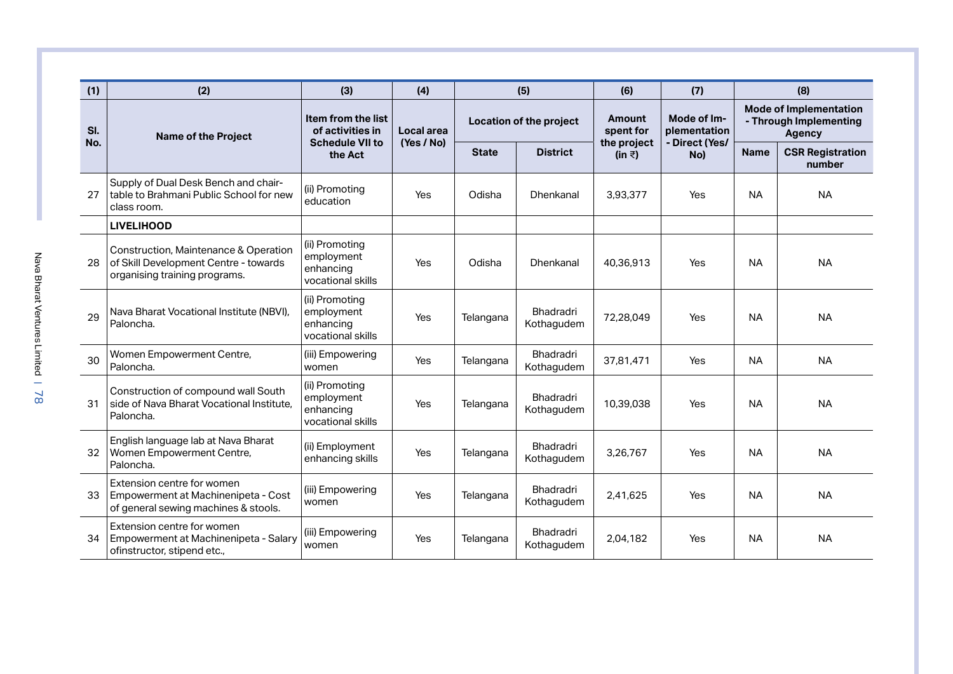| (1)        | (2)                                                                                                             | (3)                                                              | (4)        |              | (5)                     | (6)                        | (7)                         |                                                                          | (8)                               |
|------------|-----------------------------------------------------------------------------------------------------------------|------------------------------------------------------------------|------------|--------------|-------------------------|----------------------------|-----------------------------|--------------------------------------------------------------------------|-----------------------------------|
| SI.<br>No. | <b>Name of the Project</b>                                                                                      | Item from the list<br>of activities in<br><b>Schedule VII to</b> | Local area |              | Location of the project | <b>Amount</b><br>spent for | Mode of Im-<br>plementation | <b>Mode of Implementation</b><br>- Through Implementing<br><b>Agency</b> |                                   |
|            |                                                                                                                 | the Act                                                          | (Yes / No) | <b>State</b> | <b>District</b>         | the project<br>(in ₹)      | - Direct (Yes/<br>No)       | <b>Name</b>                                                              | <b>CSR Registration</b><br>number |
| 27         | Supply of Dual Desk Bench and chair-<br>table to Brahmani Public School for new<br>class room.                  | (ii) Promoting<br>education                                      | Yes        | Odisha       | <b>Dhenkanal</b>        | 3,93,377                   | Yes                         | <b>NA</b>                                                                | <b>NA</b>                         |
|            | <b>LIVELIHOOD</b>                                                                                               |                                                                  |            |              |                         |                            |                             |                                                                          |                                   |
| 28         | Construction, Maintenance & Operation<br>of Skill Development Centre - towards<br>organising training programs. | (ii) Promoting<br>employment<br>enhancing<br>vocational skills   | Yes        | Odisha       | Dhenkanal               | 40,36,913                  | Yes                         | <b>NA</b>                                                                | <b>NA</b>                         |
| 29         | Nava Bharat Vocational Institute (NBVI),<br>Paloncha.                                                           | (ii) Promoting<br>employment<br>enhancing<br>vocational skills   | Yes        | Telangana    | Bhadradri<br>Kothagudem | 72,28,049                  | Yes                         | <b>NA</b>                                                                | <b>NA</b>                         |
| 30         | Women Empowerment Centre,<br>Paloncha.                                                                          | (iii) Empowering<br>women                                        | Yes        | Telangana    | Bhadradri<br>Kothagudem | 37,81,471                  | Yes                         | <b>NA</b>                                                                | <b>NA</b>                         |
| 31         | Construction of compound wall South<br>side of Nava Bharat Vocational Institute,<br>Paloncha.                   | (ii) Promoting<br>employment<br>enhancing<br>vocational skills   | Yes        | Telangana    | Bhadradri<br>Kothagudem | 10,39,038                  | Yes                         | <b>NA</b>                                                                | <b>NA</b>                         |
| 32         | English language lab at Nava Bharat<br>Women Empowerment Centre,<br>Paloncha.                                   | (ii) Employment<br>enhancing skills                              | Yes        | Telangana    | Bhadradri<br>Kothagudem | 3,26,767                   | Yes                         | <b>NA</b>                                                                | <b>NA</b>                         |
| 33         | Extension centre for women<br>Empowerment at Machinenipeta - Cost<br>of general sewing machines & stools.       | (iii) Empowering<br>women                                        | Yes        | Telangana    | Bhadradri<br>Kothagudem | 2,41,625                   | Yes                         | <b>NA</b>                                                                | <b>NA</b>                         |
| 34         | Extension centre for women<br>Empowerment at Machinenipeta - Salary<br>ofinstructor, stipend etc.,              | (iii) Empowering<br>women                                        | Yes        | Telangana    | Bhadradri<br>Kothagudem | 2,04,182                   | Yes                         | <b>NA</b>                                                                | <b>NA</b>                         |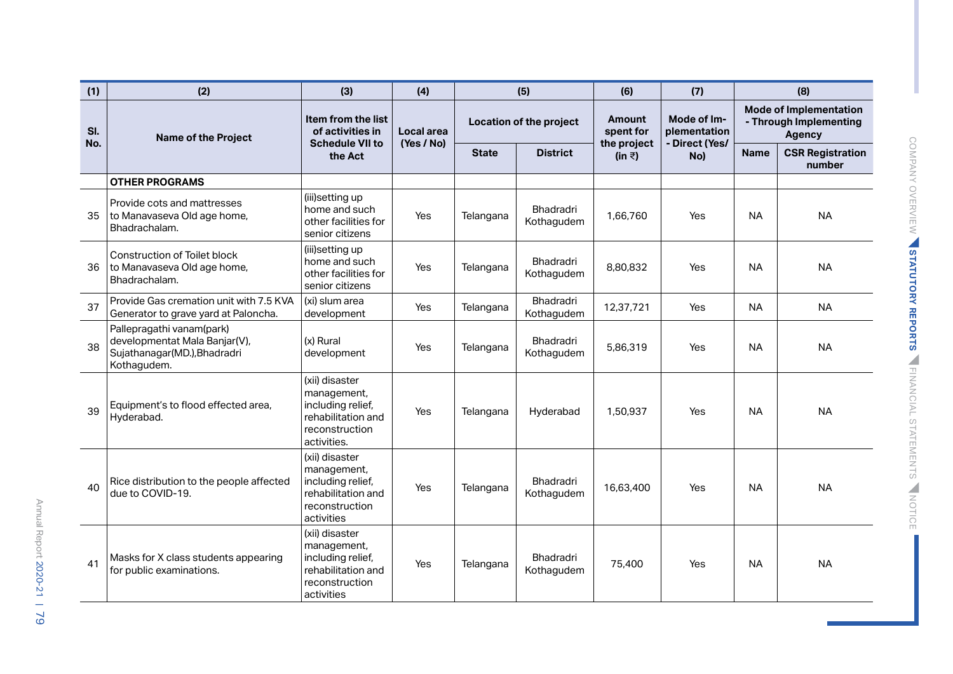| (1)        | (2)                                                                                                       | (3)                                                                                                       | (4)                      |              | (5)                            | (6)                        | (7)                                           |             | (8)                                                                      |
|------------|-----------------------------------------------------------------------------------------------------------|-----------------------------------------------------------------------------------------------------------|--------------------------|--------------|--------------------------------|----------------------------|-----------------------------------------------|-------------|--------------------------------------------------------------------------|
| SI.<br>No. | <b>Name of the Project</b>                                                                                | Item from the list<br>of activities in<br><b>Schedule VII to</b>                                          | Local area<br>(Yes / No) |              | Location of the project        | <b>Amount</b><br>spent for | Mode of Im-<br>plementation<br>- Direct (Yes/ |             | <b>Mode of Implementation</b><br>- Through Implementing<br><b>Agency</b> |
|            |                                                                                                           | the Act                                                                                                   |                          | <b>State</b> | <b>District</b>                | the project<br>(in ₹)      | No)                                           | <b>Name</b> | <b>CSR Registration</b><br>number                                        |
|            | <b>OTHER PROGRAMS</b>                                                                                     |                                                                                                           |                          |              |                                |                            |                                               |             |                                                                          |
| 35         | Provide cots and mattresses<br>to Manavaseva Old age home,<br>Bhadrachalam.                               | (iii)setting up<br>home and such<br>other facilities for<br>senior citizens                               | Yes                      | Telangana    | Bhadradri<br>Kothagudem        | 1,66,760                   | Yes                                           | <b>NA</b>   | <b>NA</b>                                                                |
| 36         | <b>Construction of Toilet block</b><br>to Manavaseva Old age home,<br>Bhadrachalam.                       | (iii)setting up<br>home and such<br>other facilities for<br>senior citizens                               | Yes                      | Telangana    | <b>Bhadradri</b><br>Kothagudem | 8,80,832                   | Yes                                           | <b>NA</b>   | <b>NA</b>                                                                |
| 37         | Provide Gas cremation unit with 7.5 KVA<br>Generator to grave yard at Paloncha.                           | (xi) slum area<br>development                                                                             | Yes                      | Telangana    | Bhadradri<br>Kothagudem        | 12,37,721                  | Yes                                           | <b>NA</b>   | <b>NA</b>                                                                |
| 38         | Pallepragathi vanam(park)<br>developmentat Mala Banjar(V),<br>Sujathanagar(MD.), Bhadradri<br>Kothagudem. | (x) Rural<br>development                                                                                  | Yes                      | Telangana    | Bhadradri<br>Kothagudem        | 5,86,319                   | Yes                                           | <b>NA</b>   | <b>NA</b>                                                                |
| 39         | Equipment's to flood effected area,<br>Hyderabad.                                                         | (xii) disaster<br>management,<br>including relief,<br>rehabilitation and<br>reconstruction<br>activities. | Yes                      | Telangana    | Hyderabad                      | 1.50.937                   | Yes                                           | <b>NA</b>   | <b>NA</b>                                                                |
| 40         | Rice distribution to the people affected<br>due to COVID-19.                                              | (xii) disaster<br>management,<br>including relief,<br>rehabilitation and<br>reconstruction<br>activities  | Yes                      | Telangana    | Bhadradri<br>Kothagudem        | 16,63,400                  | Yes                                           | <b>NA</b>   | <b>NA</b>                                                                |
| 41         | Masks for X class students appearing<br>for public examinations.                                          | (xii) disaster<br>management,<br>including relief,<br>rehabilitation and<br>reconstruction<br>activities  | Yes                      | Telangana    | Bhadradri<br>Kothagudem        | 75,400                     | Yes                                           | <b>NA</b>   | <b>NA</b>                                                                |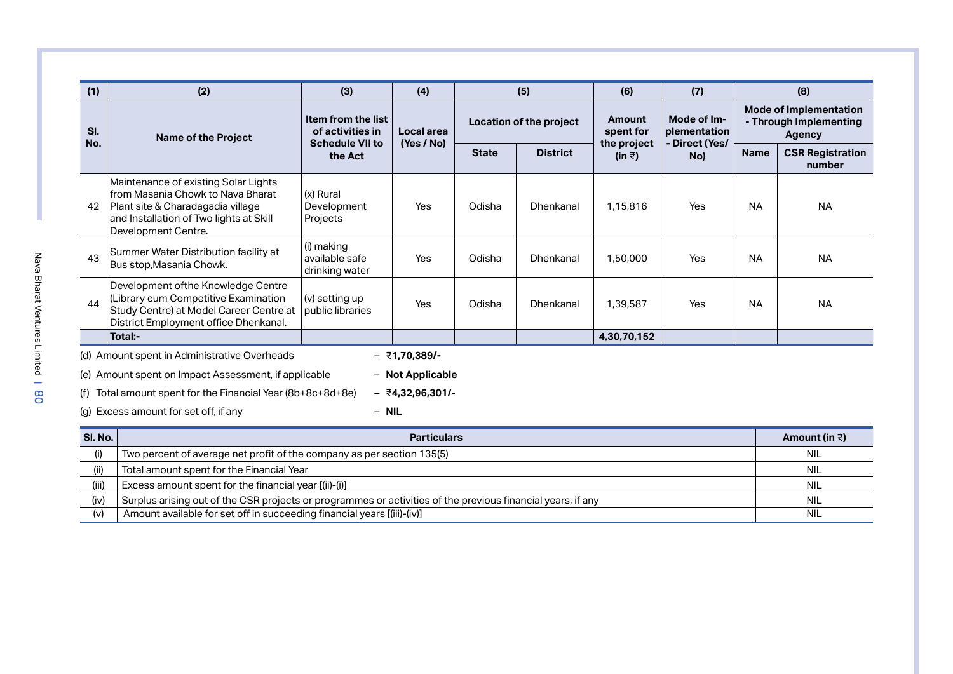| (1)        | (2)                                                                                                                                                                              | (3)                                                              | (4)                |                         | (5)             | (6)                        | (7)                                           |                                                                          | (8)                               |  |  |
|------------|----------------------------------------------------------------------------------------------------------------------------------------------------------------------------------|------------------------------------------------------------------|--------------------|-------------------------|-----------------|----------------------------|-----------------------------------------------|--------------------------------------------------------------------------|-----------------------------------|--|--|
| SI.<br>No. | <b>Name of the Project</b>                                                                                                                                                       | Item from the list<br>of activities in<br><b>Schedule VII to</b> | Local area         | Location of the project |                 | <b>Amount</b><br>spent for | Mode of Im-<br>plementation<br>- Direct (Yes/ | <b>Mode of Implementation</b><br>- Through Implementing<br><b>Agency</b> |                                   |  |  |
|            |                                                                                                                                                                                  | the Act                                                          | (Yes / No)         | <b>State</b>            | <b>District</b> | the project<br>(in ₹)      | No)                                           | <b>Name</b>                                                              | <b>CSR Registration</b><br>number |  |  |
| 42         | Maintenance of existing Solar Lights<br>from Masania Chowk to Nava Bharat<br>Plant site & Charadagadia village<br>and Installation of Two lights at Skill<br>Development Centre. | (x) Rural<br>Development<br>Projects                             | Yes                | Odisha                  | Dhenkanal       | 1.15.816                   | Yes                                           | <b>NA</b>                                                                | <b>NA</b>                         |  |  |
| 43         | Summer Water Distribution facility at<br>Bus stop, Masania Chowk.                                                                                                                | (i) making<br>available safe<br>drinking water                   | Yes                | Odisha                  | Dhenkanal       | 1,50,000                   | Yes                                           | <b>NA</b>                                                                | <b>NA</b>                         |  |  |
| 44         | Development of the Knowledge Centre<br>(Library cum Competitive Examination<br>Study Centre) at Model Career Centre at<br>District Employment office Dhenkanal.                  | (v) setting up<br>public libraries                               | Yes                | Odisha                  | Dhenkanal       | 1.39.587                   | Yes                                           | <b>NA</b>                                                                | <b>NA</b>                         |  |  |
|            | Total:-                                                                                                                                                                          |                                                                  |                    |                         |                 | 4,30,70,152                |                                               |                                                                          |                                   |  |  |
|            | (d) Amount spent in Administrative Overheads                                                                                                                                     |                                                                  | $-$ ₹1,70,389/-    |                         |                 |                            |                                               |                                                                          |                                   |  |  |
|            | (e) Amount spent on Impact Assessment, if applicable                                                                                                                             |                                                                  | - Not Applicable   |                         |                 |                            |                                               |                                                                          |                                   |  |  |
|            | (f) Total amount spent for the Financial Year $(8b+8c+8d+8e)$                                                                                                                    |                                                                  | $-$ ₹4.32.96.301/- |                         |                 |                            |                                               |                                                                          |                                   |  |  |
|            | $-$ NIL<br>(g) Excess amount for set off, if any                                                                                                                                 |                                                                  |                    |                         |                 |                            |                                               |                                                                          |                                   |  |  |
| SI. No.    |                                                                                                                                                                                  |                                                                  | <b>Particulars</b> |                         |                 |                            |                                               |                                                                          | Amount (in $\bar{z}$ )            |  |  |
| (i)        | Two percent of average net profit of the company as per section 135(5)                                                                                                           |                                                                  |                    |                         |                 |                            |                                               |                                                                          | <b>NIL</b>                        |  |  |

(ii) Total amount spent for the Financial Year NIL NIL States and States and States and States and States and NIL (iii) Excess amount spent for the financial year [(ii)-(i)] NIL (iv)  $\,$  Surplus arising out of the CSR projects or programmes or activities of the previous financial years, if any  $\,$ (v) Amount available for set off in succeeding financial years [(iii)-(iv)] NIL NIL NIL NIL NIL NIL NIL NIL NIL